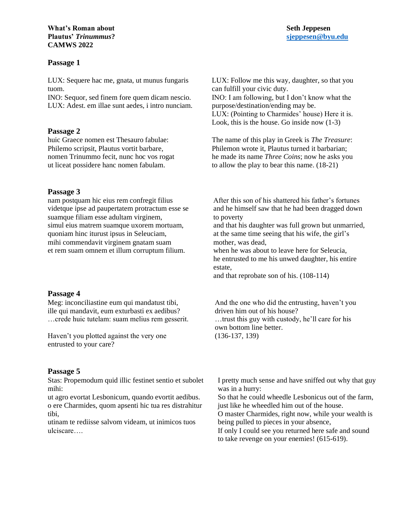#### *What's Roman about* **Seth Jeppesen Plautus'** *Trinummus***? [sjeppesen@byu.edu](mailto:sjeppesen@byu.edu) CAMWS 2022**

# **Passage 1**

LUX: Sequere hac me, gnata, ut munus fungaris tuom.

INO: Sequor, sed finem fore quem dicam nescio. LUX: Adest. em illae sunt aedes, i intro nunciam.

# **Passage 2**

huic Graece nomen est Thesauro fabulae: Philemo scripsit, Plautus vortit barbare, nomen Trinummo fecit, nunc hoc vos rogat ut liceat possidere hanc nomen fabulam.

# **Passage 3**

nam postquam hic eius rem confregit filius videtque ipse ad paupertatem protractum esse se suamque filiam esse adultam virginem, simul eius matrem suamque uxorem mortuam, quoniam hinc iturust ipsus in Seleuciam, mihi commendavit virginem gnatam suam et rem suam omnem et illum corruptum filium.

# **Passage 4**

Meg: inconciliastine eum qui mandatust tibi, ille qui mandavit, eum exturbasti ex aedibus? …crede huic tutelam: suam melius rem gesserit.

Haven't you plotted against the very one entrusted to your care?

# **Passage 5**

Stas: Propemodum quid illic festinet sentio et subolet mihi:

ut agro evortat Lesbonicum, quando evortit aedibus. o ere Charmides, quom apsenti hic tua res distrahitur tibi,

utinam te rediisse salvom videam, ut inimicos tuos ulciscare….

LUX: Follow me this way, daughter, so that you can fulfill your civic duty. INO: I am following, but I don't know what the purpose/destination/ending may be. LUX: (Pointing to Charmides' house) Here it is. Look, this is the house. Go inside now (1-3)

The name of this play in Greek is *The Treasure*: Philemon wrote it, Plautus turned it barbarian; he made its name *Three Coins*; now he asks you to allow the play to bear this name. (18-21)

After this son of his shattered his father's fortunes and he himself saw that he had been dragged down to poverty

and that his daughter was full grown but unmarried, at the same time seeing that his wife, the girl's mother, was dead,

when he was about to leave here for Seleucia, he entrusted to me his unwed daughter, his entire estate,

and that reprobate son of his. (108-114)

And the one who did the entrusting, haven't you driven him out of his house? …trust this guy with custody, he'll care for his own bottom line better. (136-137, 139)

I pretty much sense and have sniffed out why that guy was in a hurry: So that he could wheedle Lesbonicus out of the farm, just like he wheedled him out of the house.

O master Charmides, right now, while your wealth is being pulled to pieces in your absence,

If only I could see you returned here safe and sound to take revenge on your enemies! (615-619).